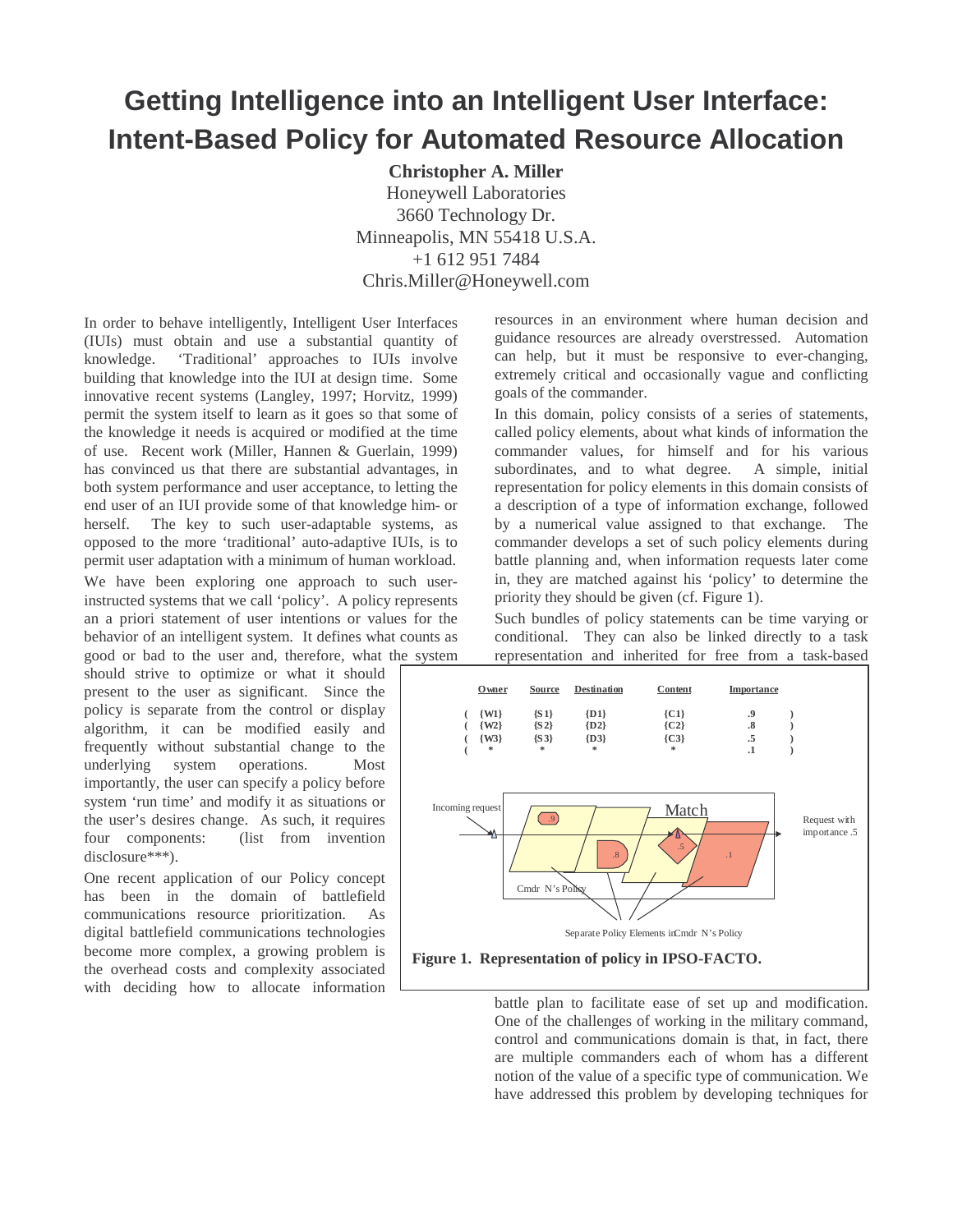## **Getting Intelligence into an Intelligent User Interface: Intent-Based Policy for Automated Resource Allocation**

**Christopher A. Miller** Honeywell Laboratories 3660 Technology Dr. Minneapolis, MN 55418 U.S.A. +1 612 951 7484 Chris.Miller@Honeywell.com

In order to behave intelligently, Intelligent User Interfaces (IUIs) must obtain and use a substantial quantity of knowledge. 'Traditional' approaches to IUIs involve building that knowledge into the IUI at design time. Some innovative recent systems (Langley, 1997; Horvitz, 1999) permit the system itself to learn as it goes so that some of the knowledge it needs is acquired or modified at the time of use. Recent work (Miller, Hannen & Guerlain, 1999) has convinced us that there are substantial advantages, in both system performance and user acceptance, to letting the end user of an IUI provide some of that knowledge him- or herself. The key to such user-adaptable systems, as opposed to the more 'traditional' auto-adaptive IUIs, is to permit user adaptation with a minimum of human workload. We have been exploring one approach to such userinstructed systems that we call 'policy'. A policy represents an a priori statement of user intentions or values for the behavior of an intelligent system. It defines what counts as good or bad to the user and, therefore, what the system

should strive to optimize or what it should present to the user as significant. Since the policy is separate from the control or display algorithm, it can be modified easily and frequently without substantial change to the underlying system operations. Most importantly, the user can specify a policy before system 'run time' and modify it as situations or the user's desires change. As such, it requires four components: (list from invention disclosure\*\*\*).

One recent application of our Policy concept has been in the domain of battlefield communications resource prioritization. As digital battlefield communications technologies become more complex, a growing problem is the overhead costs and complexity associated with deciding how to allocate information resources in an environment where human decision and guidance resources are already overstressed. Automation can help, but it must be responsive to ever-changing, extremely critical and occasionally vague and conflicting goals of the commander.

In this domain, policy consists of a series of statements, called policy elements, about what kinds of information the commander values, for himself and for his various subordinates, and to what degree. A simple, initial representation for policy elements in this domain consists of a description of a type of information exchange, followed by a numerical value assigned to that exchange. The commander develops a set of such policy elements during battle planning and, when information requests later come in, they are matched against his 'policy' to determine the priority they should be given (cf. Figure 1).

Such bundles of policy statements can be time varying or conditional. They can also be linked directly to a task representation and inherited for free from a task-based



battle plan to facilitate ease of set up and modification. One of the challenges of working in the military command, control and communications domain is that, in fact, there are multiple commanders each of whom has a different notion of the value of a specific type of communication. We have addressed this problem by developing techniques for